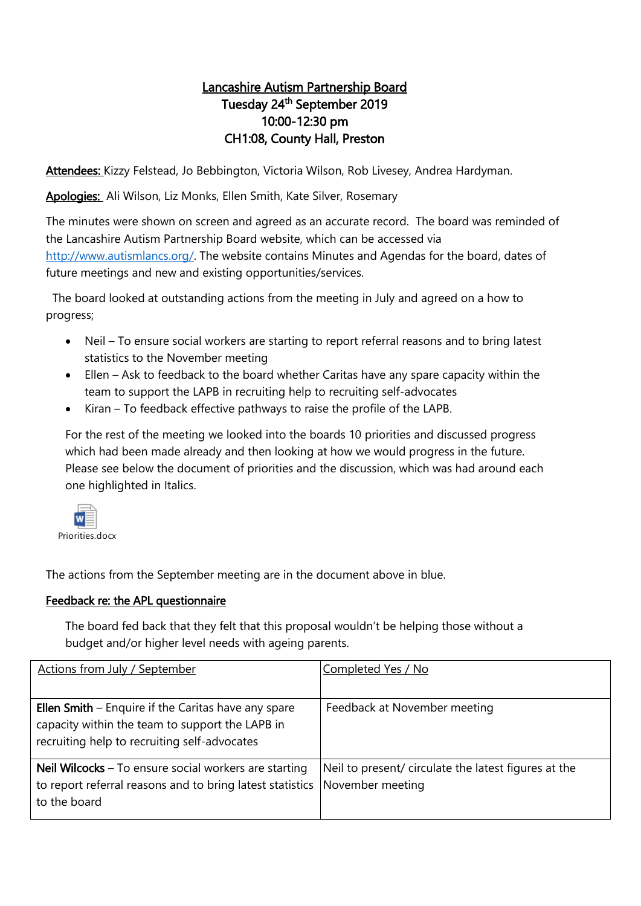## Lancashire Autism Partnership Board Tuesday 24<sup>th</sup> September 2019 10:00-12:30 pm CH1:08, County Hall, Preston

Attendees: Kizzy Felstead, Jo Bebbington, Victoria Wilson, Rob Livesey, Andrea Hardyman.

Apologies: Ali Wilson, Liz Monks, Ellen Smith, Kate Silver, Rosemary

The minutes were shown on screen and agreed as an accurate record. The board was reminded of the Lancashire Autism Partnership Board website, which can be accessed via [http://www.autismlancs.org/.](http://www.autismlancs.org/) The website contains Minutes and Agendas for the board, dates of future meetings and new and existing opportunities/services.

 The board looked at outstanding actions from the meeting in July and agreed on a how to progress;

- Neil To ensure social workers are starting to report referral reasons and to bring latest statistics to the November meeting
- Ellen Ask to feedback to the board whether Caritas have any spare capacity within the team to support the LAPB in recruiting help to recruiting self-advocates
- Kiran To feedback effective pathways to raise the profile of the LAPB.

For the rest of the meeting we looked into the boards 10 priorities and discussed progress which had been made already and then looking at how we would progress in the future. Please see below the document of priorities and the discussion, which was had around each one highlighted in Italics.



The actions from the September meeting are in the document above in blue.

## Feedback re: the APL questionnaire

The board fed back that they felt that this proposal wouldn't be helping those without a budget and/or higher level needs with ageing parents.

| <b>Actions from July / September</b>                                                                                                                            | Completed Yes / No                                                       |
|-----------------------------------------------------------------------------------------------------------------------------------------------------------------|--------------------------------------------------------------------------|
| <b>Ellen Smith</b> $-$ Enquire if the Caritas have any spare<br>capacity within the team to support the LAPB in<br>recruiting help to recruiting self-advocates | Feedback at November meeting                                             |
| <b>Neil Wilcocks</b> $-$ To ensure social workers are starting<br>to report referral reasons and to bring latest statistics<br>to the board                     | Neil to present/ circulate the latest figures at the<br>November meeting |